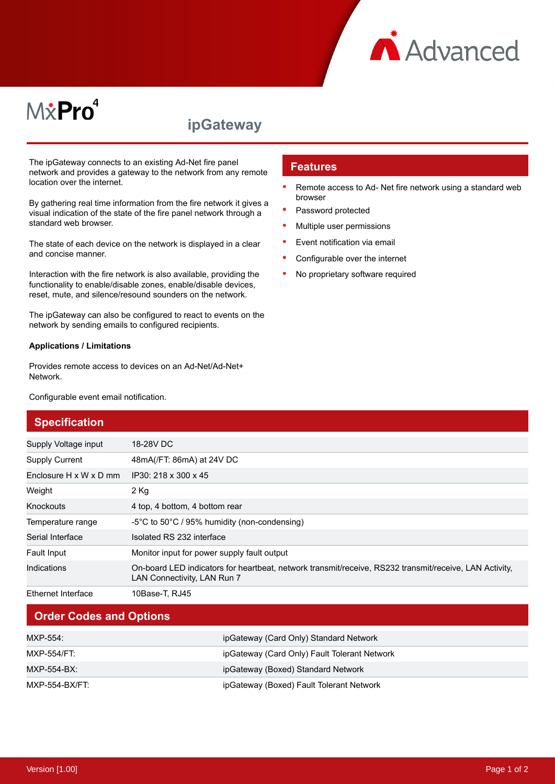

# M*\**Pro<sup>4</sup>

## **ipGateway**

The ipGateway connects to an existing Ad-Net fire panel network and provides a gateway to the network from any remote location over the internet.

By gathering real time information from the fire network it gives a visual indication of the state of the fire panel network through a standard web browser.

The state of each device on the network is displayed in a clear and concise manner.

Interaction with the fire network is also available, providing the functionality to enable/disable zones, enable/disable devices, reset, mute, and silence/resound sounders on the network.

The ipGateway can also be configured to react to events on the network by sending emails to configured recipients.

#### **Applications / Limitations**

Provides remote access to devices on an Ad-Net/Ad-Net+ Network.

Configurable event email notification.

#### **Features**

- $\bullet$ Remote access to Ad- Net fire network using a standard web browser
- Password protected
- Multiple user permissions
- $\bullet$ Event notification via email
- Configurable over the internet
- No proprietary software required

| <b>Specification</b>               |                                                                                                                                       |
|------------------------------------|---------------------------------------------------------------------------------------------------------------------------------------|
| Supply Voltage input               | 18-28V DC                                                                                                                             |
| <b>Supply Current</b>              | 48mA(/FT: 86mA) at 24V DC                                                                                                             |
| Enclosure $H \times W \times D$ mm | IP30: 218 x 300 x 45                                                                                                                  |
| Weight                             | $2$ Kg                                                                                                                                |
| Knockouts                          | 4 top, 4 bottom, 4 bottom rear                                                                                                        |
| Temperature range                  | -5°C to 50°C / 95% humidity (non-condensing)                                                                                          |
| Serial Interface                   | Isolated RS 232 interface                                                                                                             |
| Fault Input                        | Monitor input for power supply fault output                                                                                           |
| Indications                        | On-board LED indicators for heartbeat, network transmit/receive, RS232 transmit/receive, LAN Activity,<br>LAN Connectivity, LAN Run 7 |
| <b>Ethernet Interface</b>          | 10Base-T, RJ45                                                                                                                        |

### **Order Codes and Options**

| MXP-554:       | ipGateway (Card Only) Standard Network       |
|----------------|----------------------------------------------|
| MXP-554/FT:    | ipGateway (Card Only) Fault Tolerant Network |
| MXP-554-BX:    | ipGateway (Boxed) Standard Network           |
| MXP-554-BX/FT: | ipGateway (Boxed) Fault Tolerant Network     |